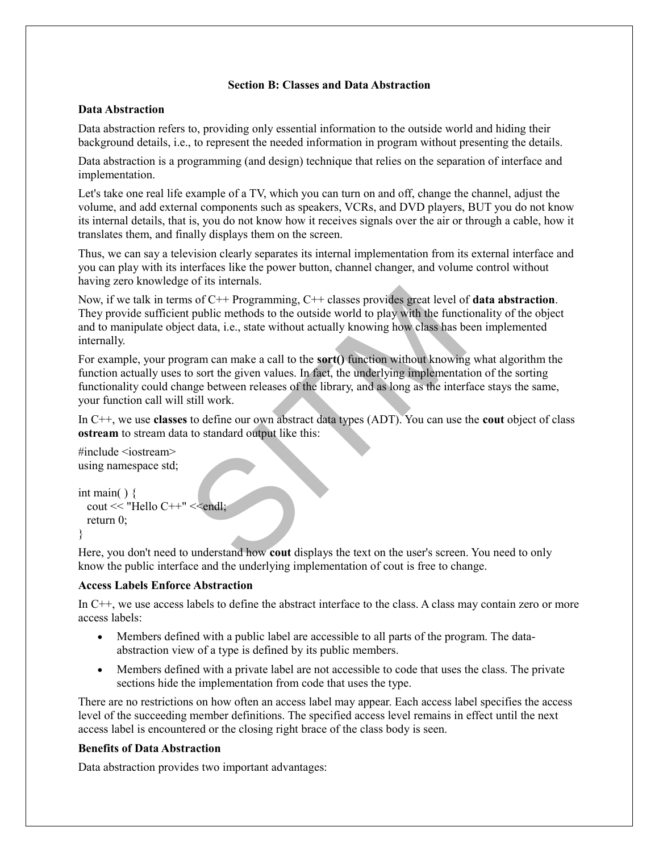#### **Section B: Classes and Data Abstraction**

## **Data Abstraction**

Data abstraction refers to, providing only essential information to the outside world and hiding their background details, i.e., to represent the needed information in program without presenting the details.

Data abstraction is a programming (and design) technique that relies on the separation of interface and implementation.

Let's take one real life example of a TV, which you can turn on and off, change the channel, adjust the volume, and add external components such as speakers, VCRs, and DVD players, BUT you do not know its internal details, that is, you do not know how it receives signals over the air or through a cable, how it translates them, and finally displays them on the screen.

Thus, we can say a television clearly separates its internal implementation from its external interface and you can play with its interfaces like the power button, channel changer, and volume control without having zero knowledge of its internals.

Now, if we talk in terms of C++ Programming, C++ classes provides great level of **data abstraction**. They provide sufficient public methods to the outside world to play with the functionality of the object and to manipulate object data, i.e., state without actually knowing how class has been implemented internally.

In so f C++ Programming, C++ classes provides great level of the public methods to the outside world to play with the funct extert data, i.e., state without actually knowing how class has be gram can make a call to the **so** For example, your program can make a call to the **sort()** function without knowing what algorithm the function actually uses to sort the given values. In fact, the underlying implementation of the sorting functionality could change between releases of the library, and as long as the interface stays the same, your function call will still work.

In C++, we use **classes** to define our own abstract data types (ADT). You can use the **cout** object of class **ostream** to stream data to standard output like this:

 $\#$ include  $\leq$ iostream $>$ using namespace std;

```
int main( ) \{\text{cout} \ll \text{"Hello C++"} \ll \text{end!}; return 0;
}
```
Here, you don't need to understand how **cout** displays the text on the user's screen. You need to only know the public interface and the underlying implementation of cout is free to change.

## **Access Labels Enforce Abstraction**

In C++, we use access labels to define the abstract interface to the class. A class may contain zero or more access labels:

- Members defined with a public label are accessible to all parts of the program. The dataabstraction view of a type is defined by its public members.
- Members defined with a private label are not accessible to code that uses the class. The private sections hide the implementation from code that uses the type.

There are no restrictions on how often an access label may appear. Each access label specifies the access level of the succeeding member definitions. The specified access level remains in effect until the next access label is encountered or the closing right brace of the class body is seen.

## **Benefits of Data Abstraction**

Data abstraction provides two important advantages: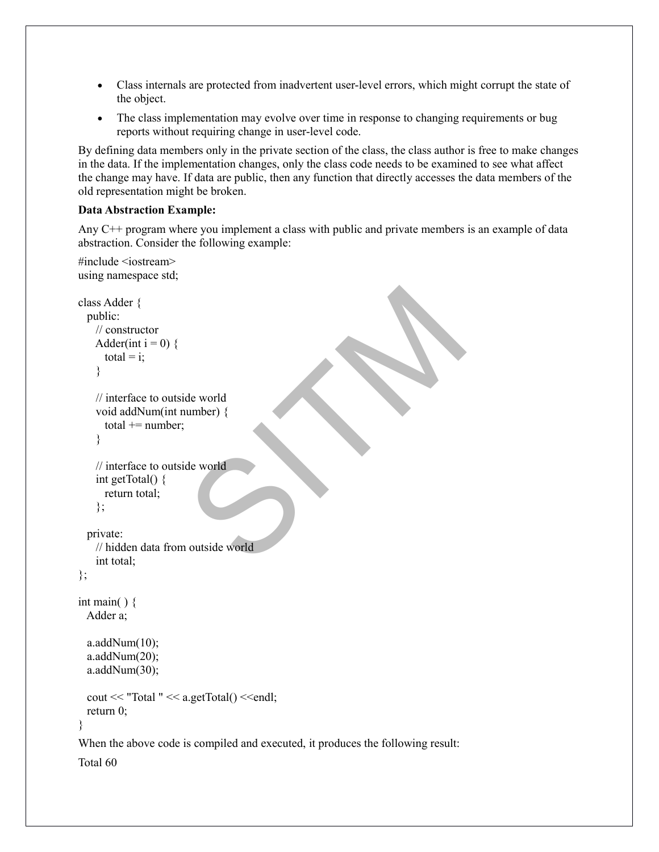- Class internals are protected from inadvertent user-level errors, which might corrupt the state of the object.
- The class implementation may evolve over time in response to changing requirements or bug reports without requiring change in user-level code.

By defining data members only in the private section of the class, the class author is free to make changes in the data. If the implementation changes, only the class code needs to be examined to see what affect the change may have. If data are public, then any function that directly accesses the data members of the old representation might be broken.

#### **Data Abstraction Example:**

#include <iostream>

Any C++ program where you implement a class with public and private members is an example of data abstraction. Consider the following example:

```
de world<br>umber) {<br>de world<br>de world<br>a outside world
using namespace std;
class Adder {
  public:
    // constructor
   Adder(int i = 0) {
     total = i;
     }
    // interface to outside world
    void addNum(int number) {
     total += number;
     }
    // interface to outside world
     int getTotal() {
      return total;
     };
   private:
    // hidden data from outside world
     int total;
};
int main( ) {
  Adder a;
 a.addNum(10);
 a.addNum(20);
  a.addNum(30);cout << "Total " << a.getTotal() << endl;
  return 0;
}
When the above code is compiled and executed, it produces the following result:
Total 60
```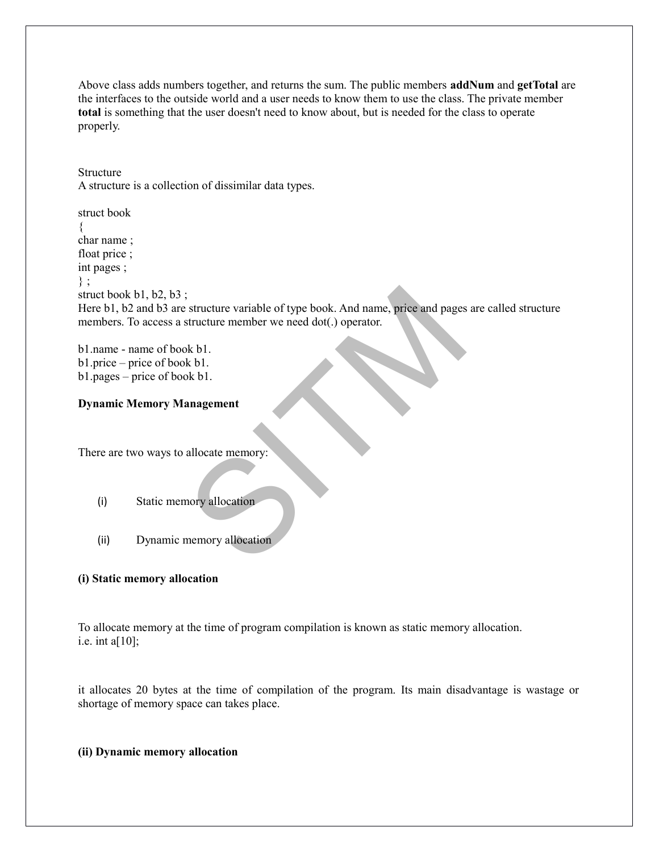Above class adds numbers together, and returns the sum. The public members **addNum** and **getTotal** are the interfaces to the outside world and a user needs to know them to use the class. The private member **total** is something that the user doesn't need to know about, but is needed for the class to operate properly.

Structure A structure is a collection of dissimilar data types.

Exerciture variable of type book. And name, price and pages<br>structure member we need dot(.) operator.<br>bk b1.<br>anagement<br>allocate memory:<br>mory allocation<br>memory allocation struct book { char name ; float price ; int pages ; } ; struct book b1, b2, b3; Here b1, b2 and b3 are structure variable of type book. And name, price and pages are called structure members. To access a structure member we need dot(.) operator.

b1.name - name of book b1. b1.price – price of book b1. b1.pages – price of book b1.

## **Dynamic Memory Management**

There are two ways to allocate memory:

- (i) Static memory allocation
- (ii) Dynamic memory allocation

#### **(i) Static memory allocation**

To allocate memory at the time of program compilation is known as static memory allocation. i.e. int a[ $10$ ];

it allocates 20 bytes at the time of compilation of the program. Its main disadvantage is wastage or shortage of memory space can takes place.

#### **(ii) Dynamic memory allocation**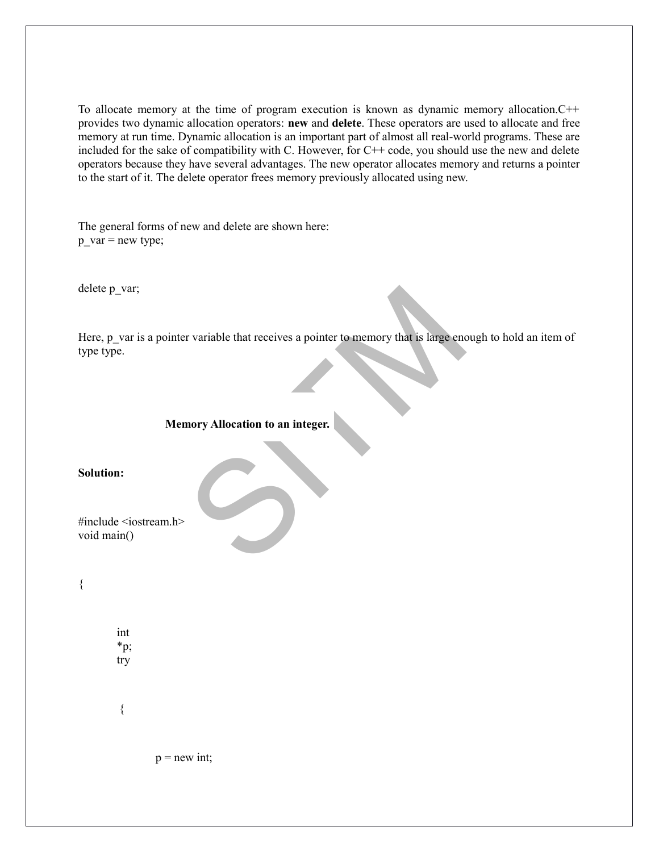To allocate memory at the time of program execution is known as dynamic memory allocation.C++ provides two dynamic allocation operators: **new** and **delete**. These operators are used to allocate and free memory at run time. Dynamic allocation is an important part of almost all real-world programs. These are included for the sake of compatibility with C. However, for C++ code, you should use the new and delete operators because they have several advantages. The new operator allocates memory and returns a pointer to the start of it. The delete operator frees memory previously allocated using new.

The general forms of new and delete are shown here: p\_var = new type;

delete p\_var;

Frequencies de la production de la production de la production de la production de la production de la production de la production de la production de la production de la production de la production de la production de la Here, p\_var is a pointer variable that receives a pointer to memory that is large enough to hold an item of type type.

#### **Memory Allocation to an integer.**

**Solution:**

#include <iostream.h> void main()

{

int \*p; try

{

 $p = new int;$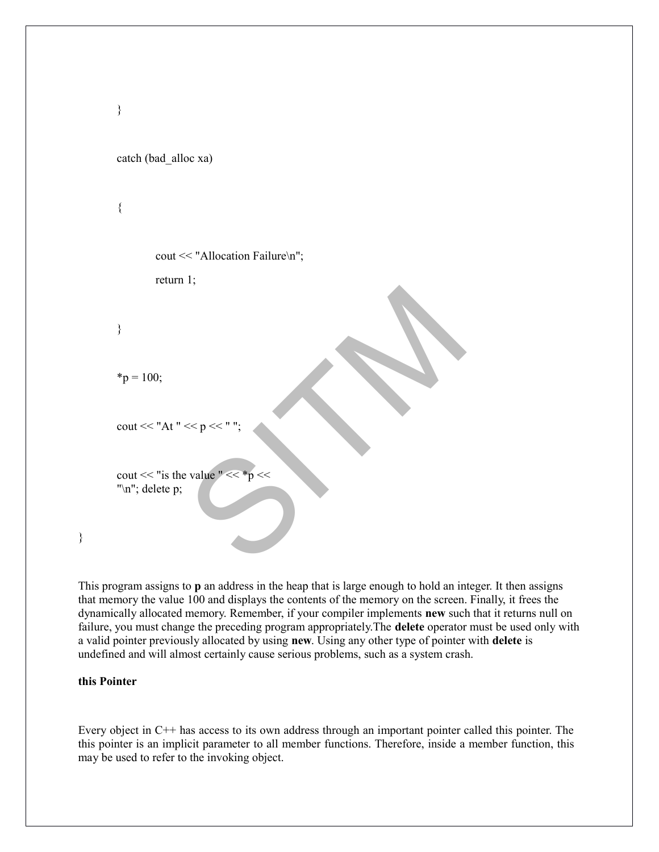```
SITM
catch (bad_alloc xa)
{
      cout << "Allocation Failure\n";
     return 1;
}
*_{p} = 100;cout << "At " << p \ll"
cout << "is the value " <<"\n"; delete p;
```
This program assigns to **p** an address in the heap that is large enough to hold an integer. It then assigns that memory the value 100 and displays the contents of the memory on the screen. Finally, it frees the dynamically allocated memory. Remember, if your compiler implements **new** such that it returns null on failure, you must change the preceding program appropriately.The **delete** operator must be used only with a valid pointer previously allocated by using **new**. Using any other type of pointer with **delete** is undefined and will almost certainly cause serious problems, such as a system crash.

#### **this Pointer**

}

}

Every object in C++ has access to its own address through an important pointer called this pointer. The this pointer is an implicit parameter to all member functions. Therefore, inside a member function, this may be used to refer to the invoking object.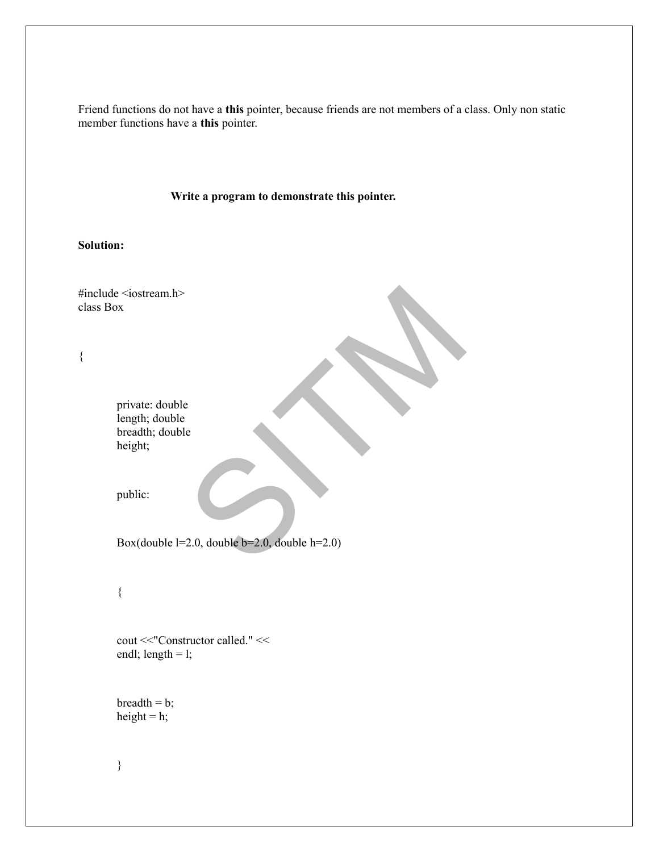Friend functions do not have a **this** pointer, because friends are not members of a class. Only non static member functions have a **this** pointer.

#### **Write a program to demonstrate this pointer.**

## **Solution:**

 $\begin{bmatrix} 1 \\ 1 \\ 2.0 \end{bmatrix}$ <br>2.0, double b=2.0, double h=2.0) #include <iostream.h> class Box { private: double length; double breadth; double height; public: Box(double l=2.0, double b=2.0, double h=2.0) { cout <<"Constructor called." << endl; length  $=$  l;  $breadth = b;$ height =  $h$ ;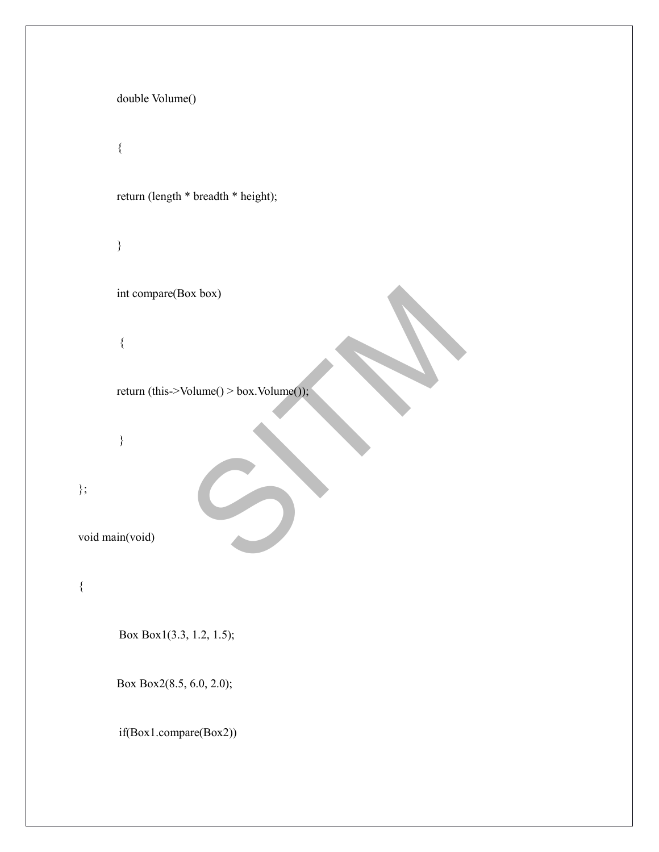|                 | double Volume()                         |  |
|-----------------|-----------------------------------------|--|
|                 | $\{$                                    |  |
|                 | return (length * breadth * height);     |  |
|                 | $\}$                                    |  |
|                 | int compare(Box box)                    |  |
|                 | $\{$                                    |  |
|                 | return (this->Volume() > box.Volume()); |  |
|                 | $\}$                                    |  |
| $\}$ ;          |                                         |  |
| void main(void) |                                         |  |
| $\{$            |                                         |  |
|                 | Box Box1(3.3, 1.2, 1.5);                |  |
|                 | Box Box2(8.5, 6.0, 2.0);                |  |
|                 | if(Box1.compare(Box2))                  |  |
|                 |                                         |  |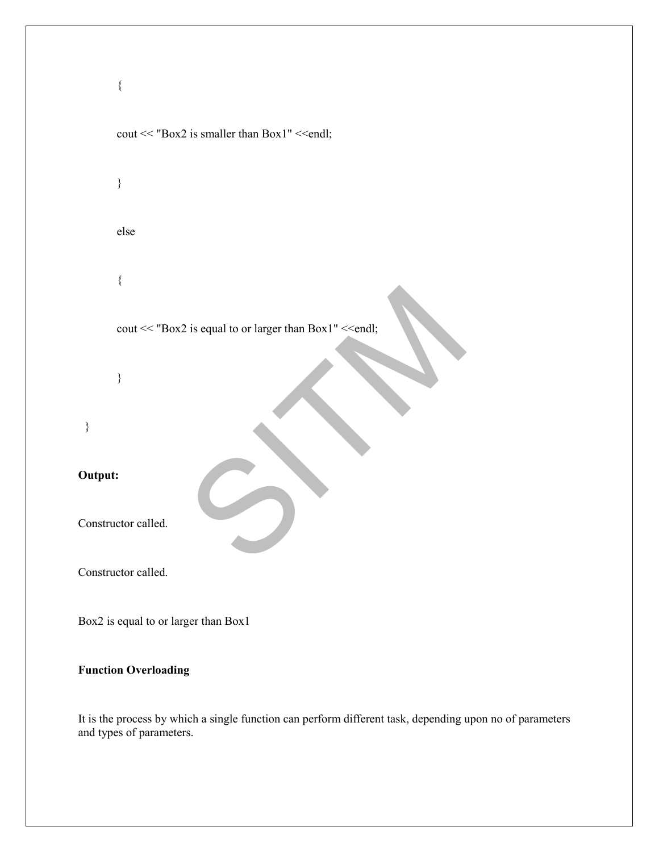

It is the process by which a single function can perform different task, depending upon no of parameters and types of parameters.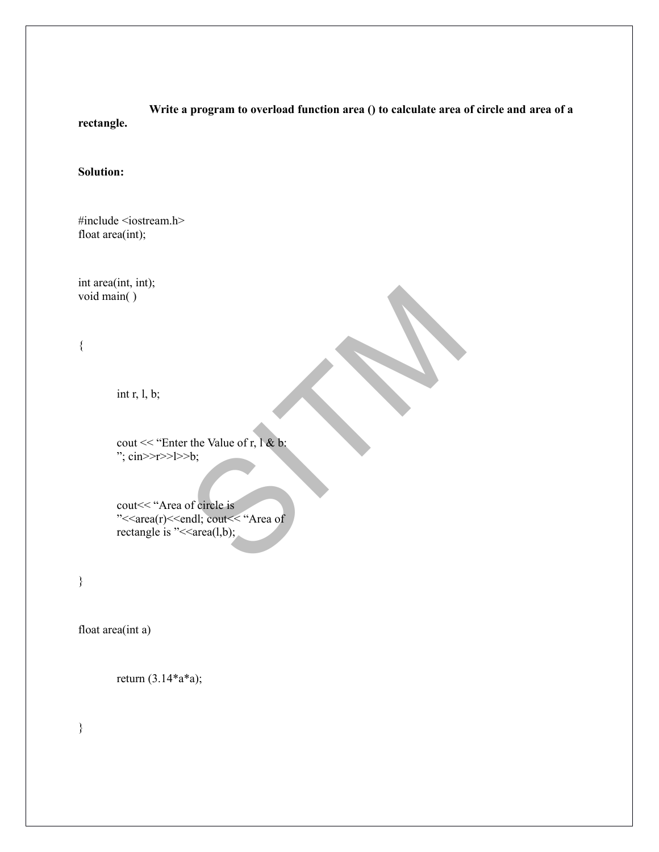**Write a program to overload function area () to calculate area of circle and area of a rectangle.**

## **Solution:**

#include <iostream.h> float area(int);

int area(int, int); void main( )

{

int  $r, l, b;$ 

cout << "Enter the Value of r, l & b: ";  $\text{cin}>>\text{r}>>\text{l}>>\text{b}$ ;

r the Value of r,  $\mathbf{l}$  & b:<br>  $\geq$ b;<br>
of circle is<br>
andl; cout<< "Area of  $\leq$  area(l,b); cout << "Area of circle is" "<<area(r)<<endl; cout<<<"Area of" rectangle is " $\leq$  area(l,b);

}

float area(int a)

return (3.14\*a\*a);

}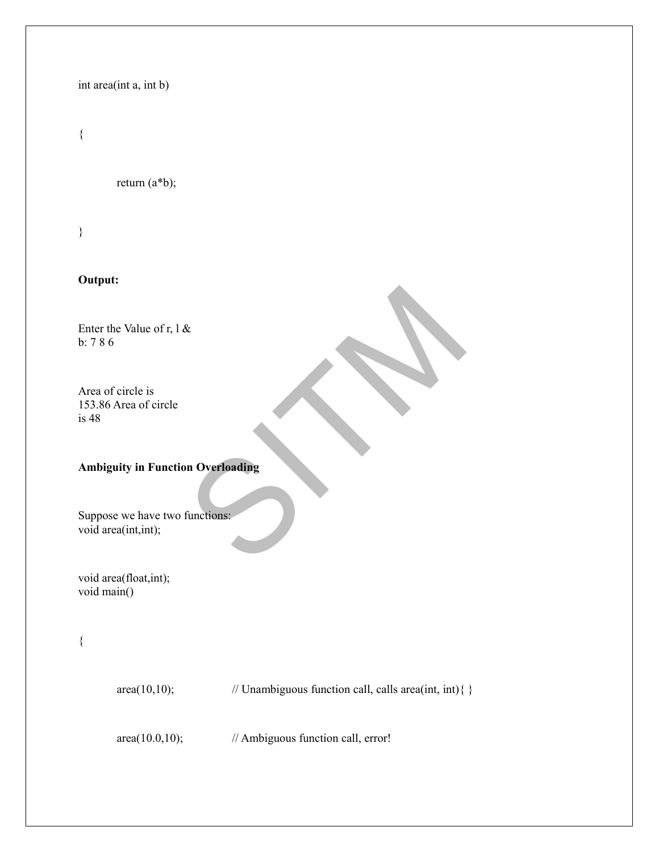## int area(int a, int b)

## {

return (a\*b);

}

# **Output:**

Enter the Value of r, l & b: 7 8 6

Area of circle is 153.86 Area of circle is 48

## **Ambiguity in Function Overloading**

Repartment of the Contractions: Suppose we have two functions: void area(int,int);

void area(float,int); void main()

{

 $area(10,10);$  // Unambiguous function call, calls area(int, int){ }

area(10.0,10); // Ambiguous function call, error!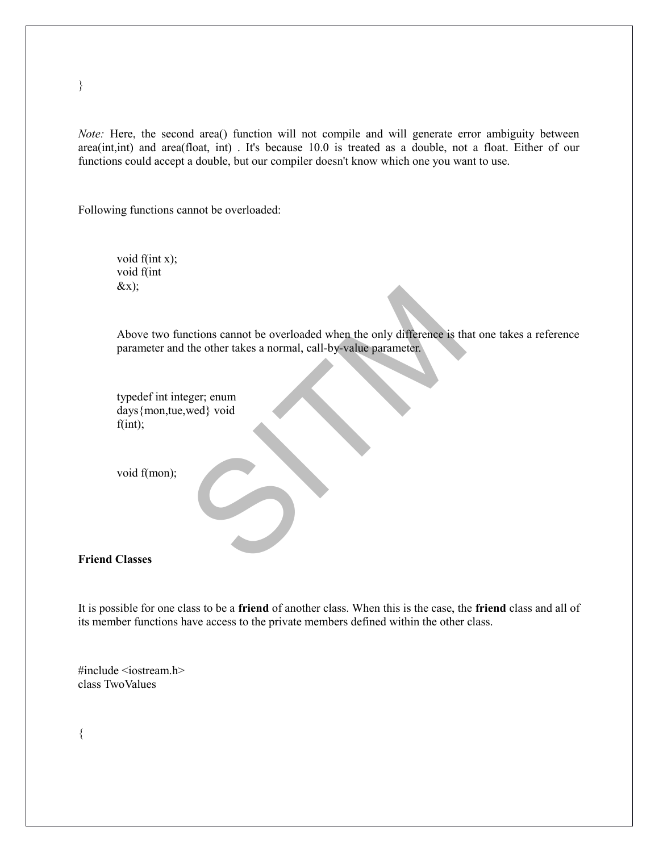*Note:* Here, the second area() function will not compile and will generate error ambiguity between area(int,int) and area(float, int) . It's because 10.0 is treated as a double, not a float. Either of our functions could accept a double, but our compiler doesn't know which one you want to use.

Following functions cannot be overloaded:

void f(int x); void f(int  $&x$ );

nctions cannot be overloaded when the only difference is the other takes a normal, call-by-value parameter. Above two functions cannot be overloaded when the only difference is that one takes a reference parameter and the other takes a normal, call-by-value parameter.

typedef int integer; enum days{mon,tue,wed} void  $f(int);$ 

void f(mon);

**Friend Classes**

It is possible for one class to be a **friend** of another class. When this is the case, the **friend** class and all of its member functions have access to the private members defined within the other class.

#include <iostream.h> class TwoValues

}

{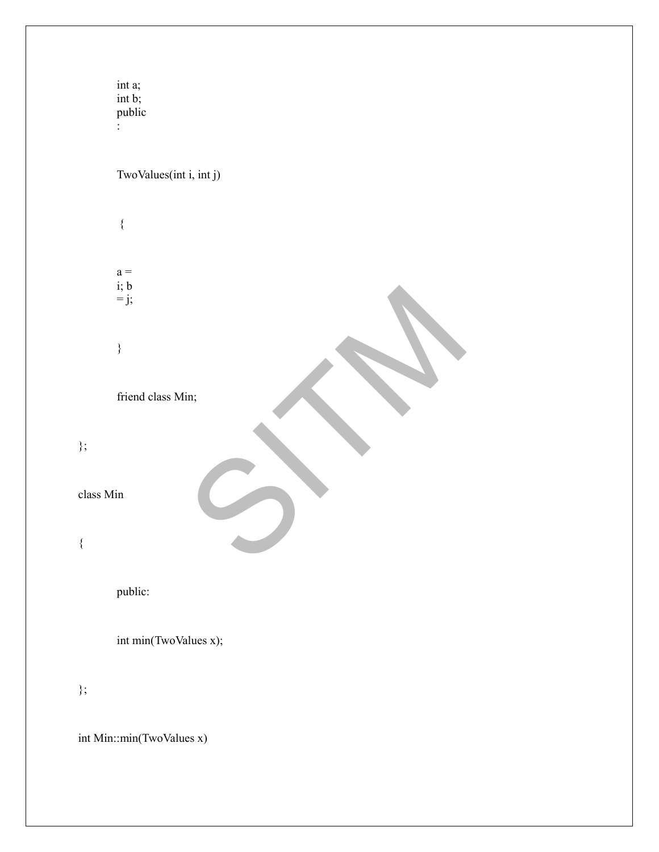SITM int a; int b; public : TwoValues(int i, int j) {  $a =$ i; b  $= j;$ } friend class Min; class Min public: int min(TwoValues x);

int Min::min(TwoValues x)

};

{

};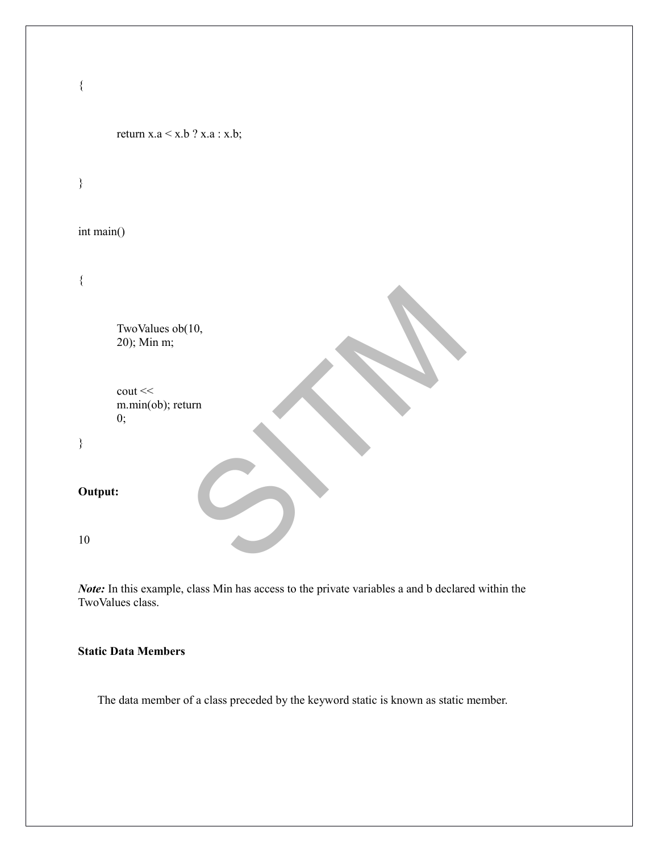```
SITM
{
     return x.a \le x.b ? x.a : x.b;
}
int main()
{
     TwoValues ob(10, 
     20); Min m;
     \cot <<m.min(ob); return 
     0;
}
Output:
10
```
*Note:* In this example, class Min has access to the private variables a and b declared within the TwoValues class.

## **Static Data Members**

The data member of a class preceded by the keyword static is known as static member.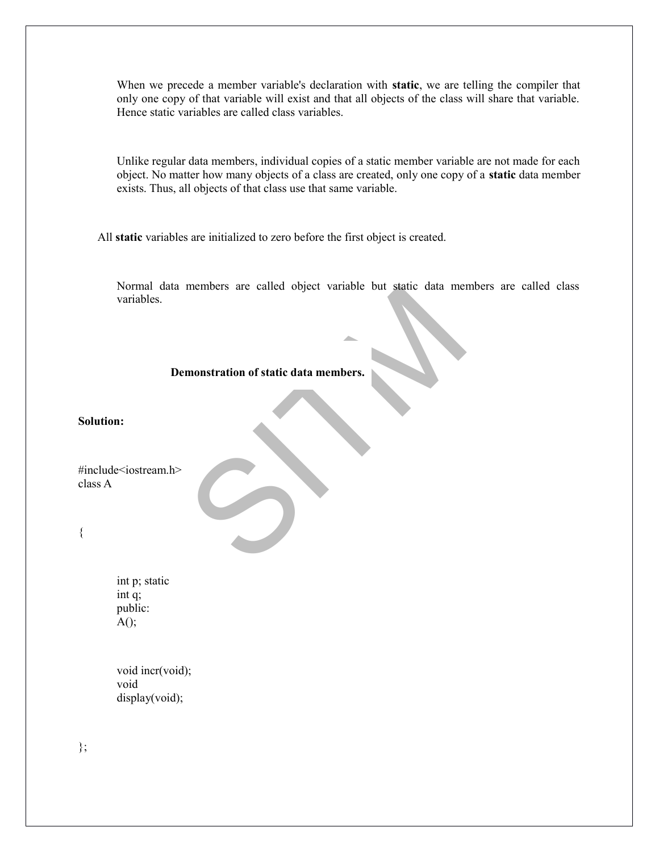When we precede a member variable's declaration with **static**, we are telling the compiler that only one copy of that variable will exist and that all objects of the class will share that variable. Hence static variables are called class variables.

Unlike regular data members, individual copies of a static member variable are not made for each object. No matter how many objects of a class are created, only one copy of a **static** data member exists. Thus, all objects of that class use that same variable.

All **static** variables are initialized to zero before the first object is created.

members are caned object variable but static data members. Normal data members are called object variable but static data members are called class variables.

## **Demonstration of static data members.**

**Solution:**

#include<iostream.h> class A

{

int p; static int q; public:  $A()$ ;

void incr(void); void display(void);

};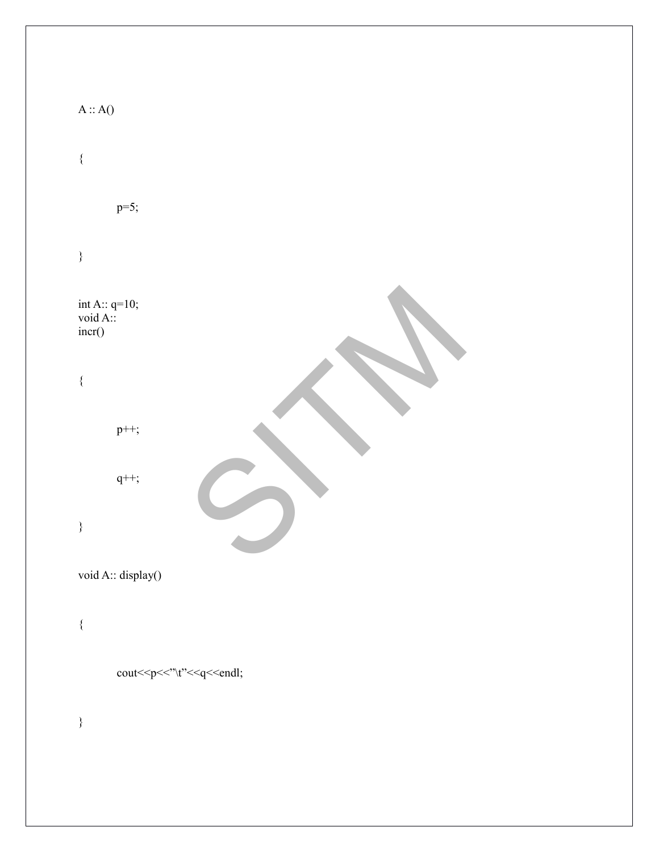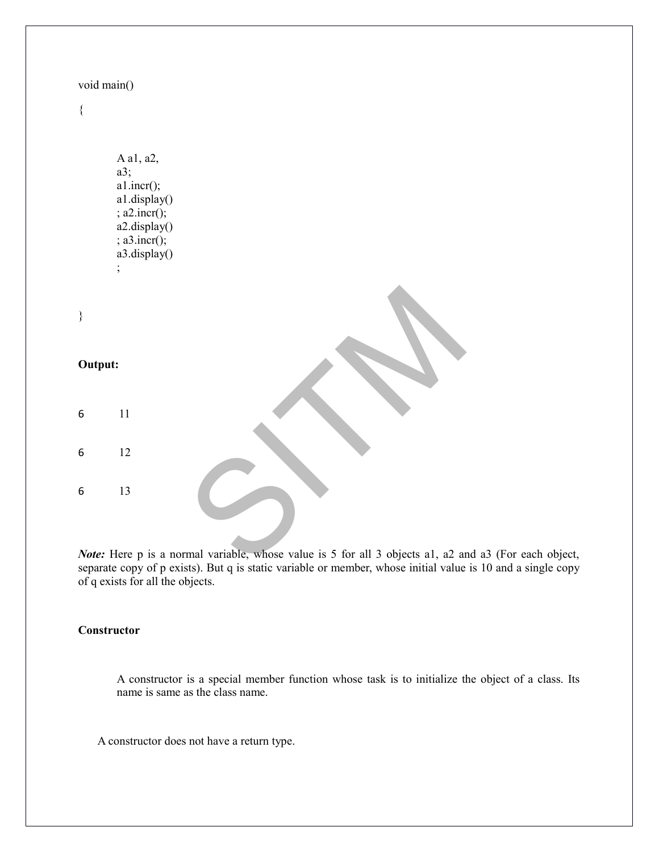| void main() |                                                                                                                                                                                        |
|-------------|----------------------------------------------------------------------------------------------------------------------------------------------------------------------------------------|
| $\{$        |                                                                                                                                                                                        |
|             | A a1, a2,<br>a3;<br>a1.incr();<br>a1.display()<br>; a2.incr();<br>a2.display()<br>; a3.incr();<br>a3.display()<br>$\vdots$                                                             |
| $\}$        |                                                                                                                                                                                        |
| Output:     |                                                                                                                                                                                        |
| 6           | 11                                                                                                                                                                                     |
| 6           | 12                                                                                                                                                                                     |
| 6           | 13                                                                                                                                                                                     |
|             | Note: Here p is a normal variable, whose value is 5 for all 3 objects a1, a2 and<br>seguente conseguente quieto). Dostro in otodio seguindolo per mondo que subposta initial segluo in |

*Note:* Here p is a normal variable, whose value is 5 for all 3 objects a1, a2 and a3 (For each object, separate copy of p exists). But q is static variable or member, whose initial value is 10 and a single copy of q exists for all the objects.

## **Constructor**

A constructor is a special member function whose task is to initialize the object of a class. Its name is same as the class name.

A constructor does not have a return type.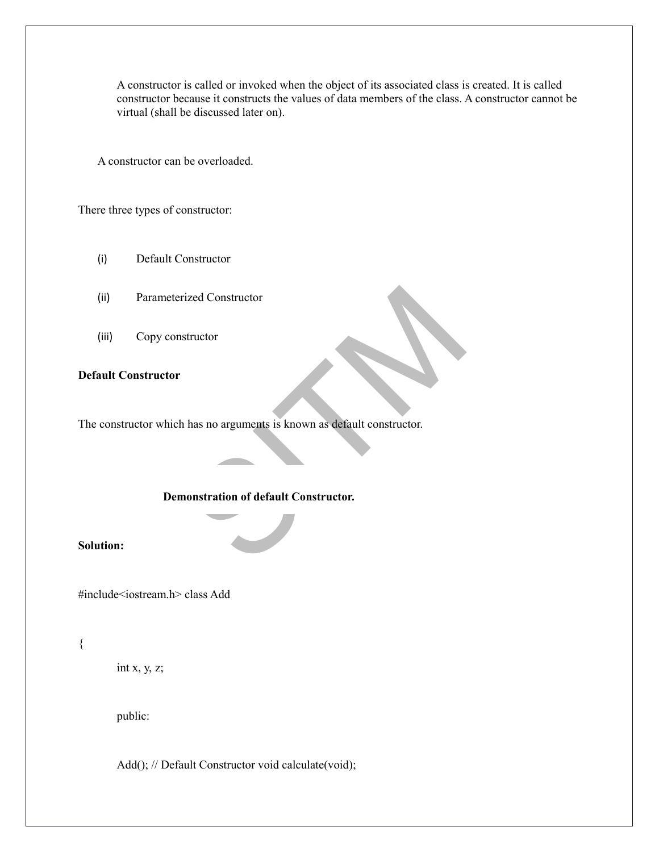A constructor is called or invoked when the object of its associated class is created. It is called constructor because it constructs the values of data members of the class. A constructor cannot be virtual (shall be discussed later on).

A constructor can be overloaded.

There three types of constructor:

- (i) Default Constructor
- (ii) Parameterized Constructor
- (iii) Copy constructor

## **Default Constructor**

ized Constructor<br>structor<br>has no arguments is known as default constructor.<br>nonstration of default Constructor. The constructor which has no arguments is known as default constructor.

#### **Demonstration of default Constructor.**

## **Solution:**

#include<iostream.h> class Add

## {

int x, y, z;

public:

Add(); // Default Constructor void calculate(void);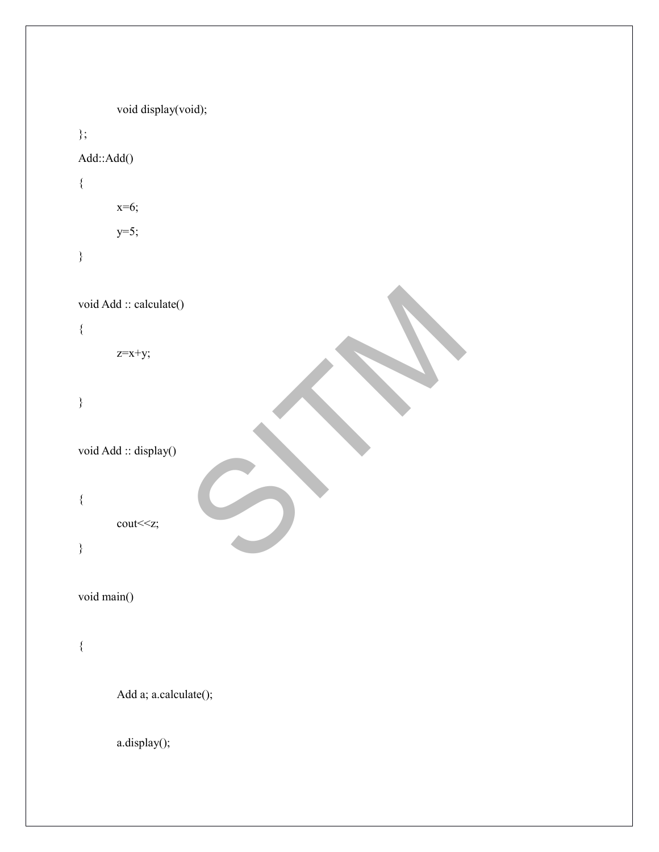```
SITM
      void display(void);
};
Add::Add()
{
     x=6;
     y=5;
}
void Add :: calculate()
{
     z=x+y;}
void Add :: display()
{
     cout<<z;
}
void main()
{
      Add a; a.calculate();
      a.display();
```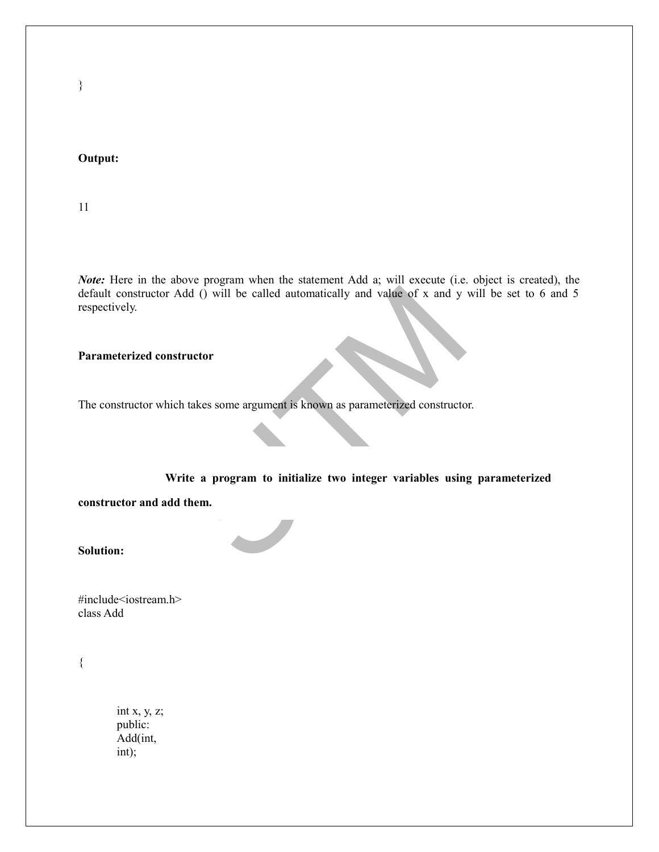**Output:**

11

 $\frac{1}{2}$  of  $\frac{1}{2}$  of  $\frac{1}{2}$  of  $\frac{1}{2}$  of  $\frac{1}{2}$  of  $\frac{1}{2}$  and  $\frac{1}{2}$  of  $\frac{1}{2}$  and  $\frac{1}{2}$  on  $\frac{1}{2}$  and  $\frac{1}{2}$  on  $\frac{1}{2}$  and  $\frac{1}{2}$  constructor takes some argument is known as paramet *Note:* Here in the above program when the statement Add a; will execute (i.e. object is created), the default constructor Add () will be called automatically and value of x and y will be set to 6 and 5 respectively.

**Parameterized constructor**

The constructor which takes some argument is known as parameterized constructor.

**Write a program to initialize two integer variables using parameterized**

**constructor and add them.**

**Solution:**

#include<iostream.h> class Add

{

int x, y, z; public: Add(int, int);

}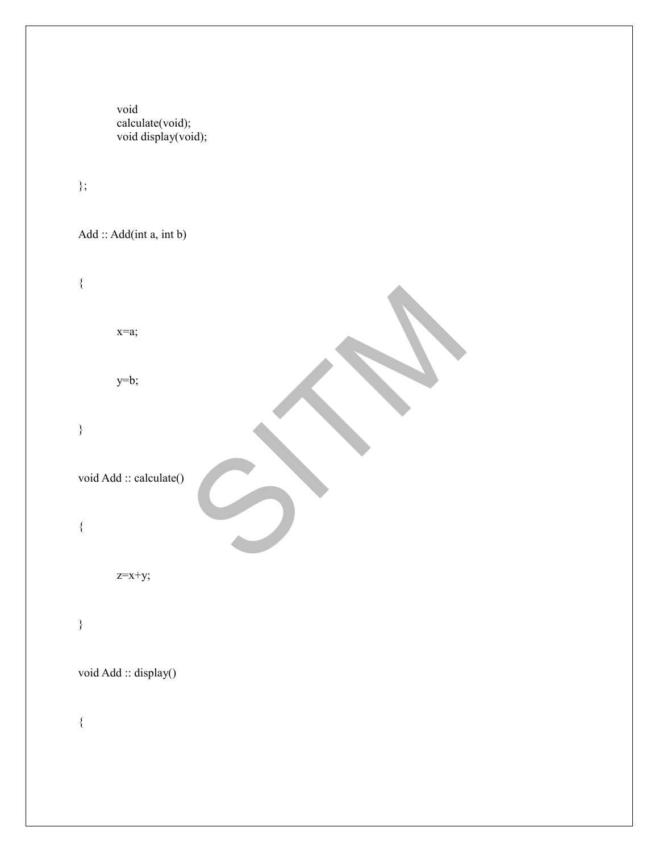void calculate(void); void display(void);

};

Add :: Add(int a, int b)

SITM { x=a; y=b; } void Add :: calculate() {  $z=x+y;$ } void Add :: display() {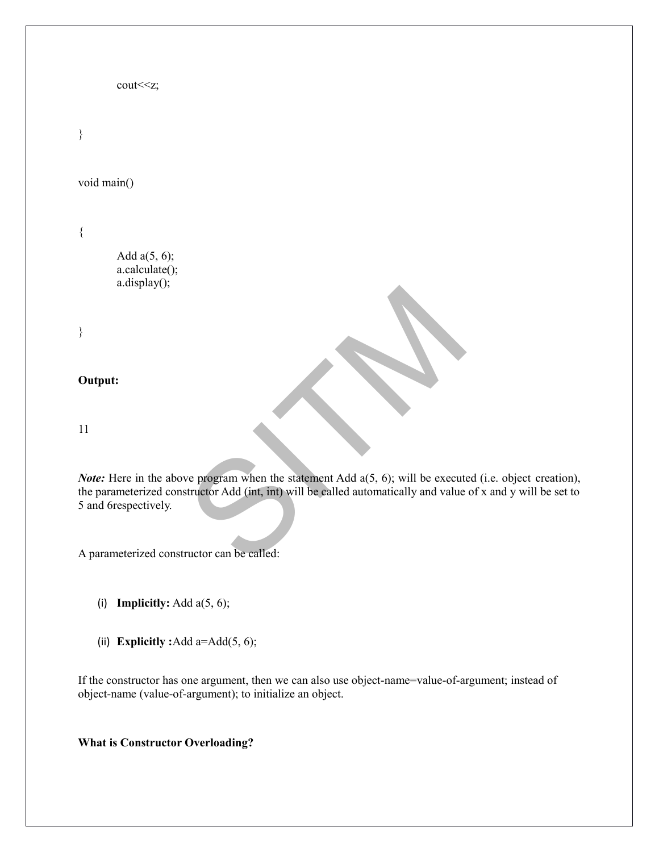```
cout<<z;
```
}

void main()

{

Add  $a(5, 6)$ ; a.calculate(); a.display();

}

#### **Output:**

11

Example 18 and the statement Add a(5, 6); will be executed that the statement Add a(5, 6); will be executed that the called automatically and value *Note:* Here in the above program when the statement Add a(5, 6); will be executed (i.e. object creation), the parameterized constructor Add (int, int) will be called automatically and value of x and y will be set to 5 and 6respectively.

A parameterized constructor can be called:

- (i) **Implicitly:** Add a(5, 6);
- (ii) **Explicitly :**Add a=Add(5, 6);

If the constructor has one argument, then we can also use object-name=value-of-argument; instead of object-name (value-of-argument); to initialize an object.

**What is Constructor Overloading?**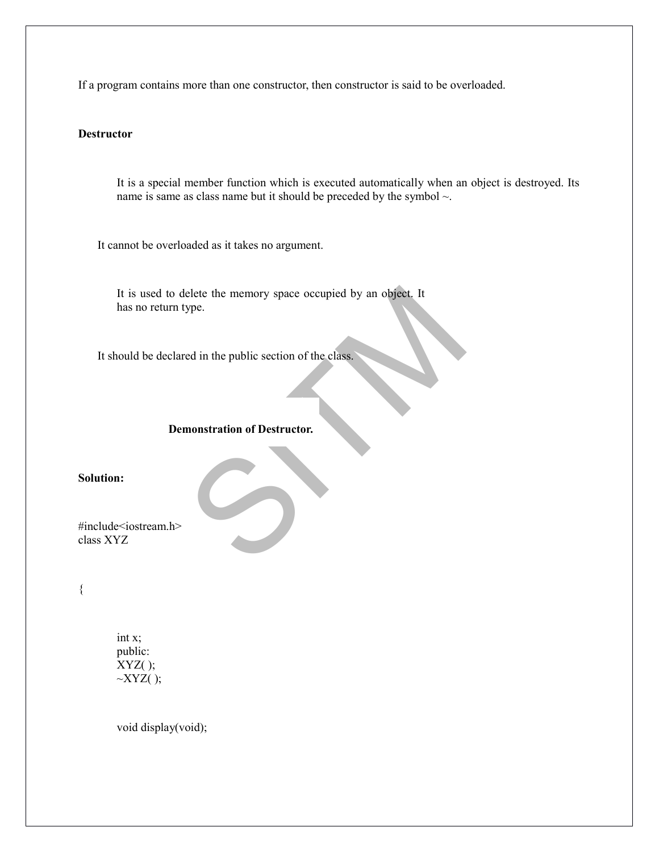If a program contains more than one constructor, then constructor is said to be overloaded.

#### **Destructor**

It is a special member function which is executed automatically when an object is destroyed. Its name is same as class name but it should be preceded by the symbol  $\sim$ .

It cannot be overloaded as it takes no argument.

Exercise the memory space occupied by an object. It<br>ype. It is used to delete the memory space occupied by an object. It has no return type.

It should be declared in the public section of the class.

## **Demonstration of Destructor.**

**Solution:**

#include<iostream.h> class XYZ

{

int x; public:  $XYZ()$ ;  $\sim$ XYZ( );

void display(void);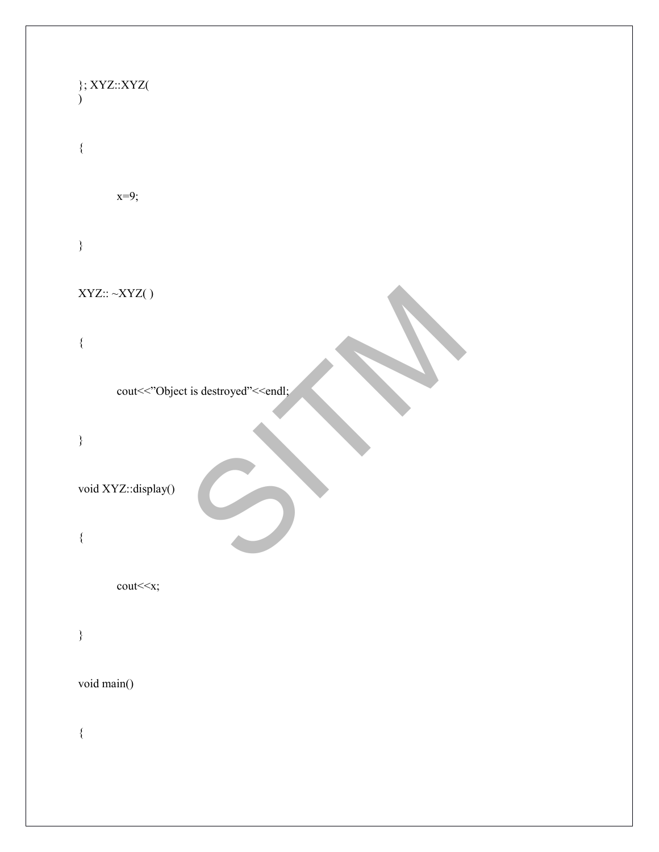| $\};$ XYZ::XYZ(                                      |  |  |
|------------------------------------------------------|--|--|
| ₹                                                    |  |  |
| $x=9;$                                               |  |  |
| $\big\}$                                             |  |  |
| $\mbox{XYZ}::\sim\!\!\mbox{XYZ}()$                   |  |  |
| $\{$                                                 |  |  |
| cout<<"Object is destroyed"< <endl;< td=""></endl;<> |  |  |
| $\big\}$                                             |  |  |
| void XYZ::display()                                  |  |  |
| $\{$                                                 |  |  |
| cout< <x;< td=""></x;<>                              |  |  |
| $\}$                                                 |  |  |
| void main()                                          |  |  |
| $\{$                                                 |  |  |
|                                                      |  |  |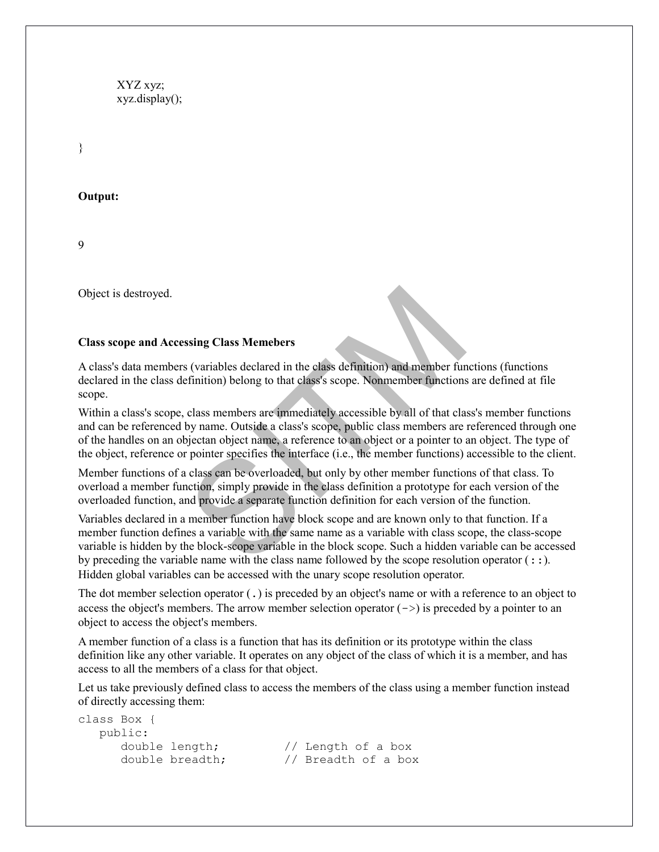XYZ xyz; xyz.display();

}

**Output:**

9

Object is destroyed.

#### **Class scope and Accessing Class Memebers**

A class's data members (variables declared in the class definition) and member functions (functions declared in the class definition) belong to that class's scope. Nonmember functions are defined at file scope.

Within a class's scope, class members are immediately accessible by all of that class's member functions and can be referenced by name. Outside a class's scope, public class members are referenced through one of the handles on an objectan object name, a reference to an object or a pointer to an object. The type of the object, reference or pointer specifies the interface (i.e., the member functions) accessible to the client.

Member functions of a class can be overloaded, but only by other member functions of that class. To overload a member function, simply provide in the class definition a prototype for each version of the overloaded function, and provide a separate function definition for each version of the function.

ssing Class Memebers<br>Solivariables declared in the class definition) and member fur-<br>Efinition) belong to that class's scope. Nonmember functions<br>class members are immediately accessible by all of that cla<br>by name. Outside Variables declared in a member function have block scope and are known only to that function. If a member function defines a variable with the same name as a variable with class scope, the class-scope variable is hidden by the block-scope variable in the block scope. Such a hidden variable can be accessed by preceding the variable name with the class name followed by the scope resolution operator  $(:).$ Hidden global variables can be accessed with the unary scope resolution operator.

The dot member selection operator (.) is preceded by an object's name or with a reference to an object to access the object's members. The arrow member selection operator  $(-)$  is preceded by a pointer to an object to access the object's members.

A member function of a class is a function that has its definition or its prototype within the class definition like any other variable. It operates on any object of the class of which it is a member, and has access to all the members of a class for that object.

Let us take previously defined class to access the members of the class using a member function instead of directly accessing them:

```
class Box {
   public:
      double length; // Length of a box
      double breadth; // Breadth of a box
```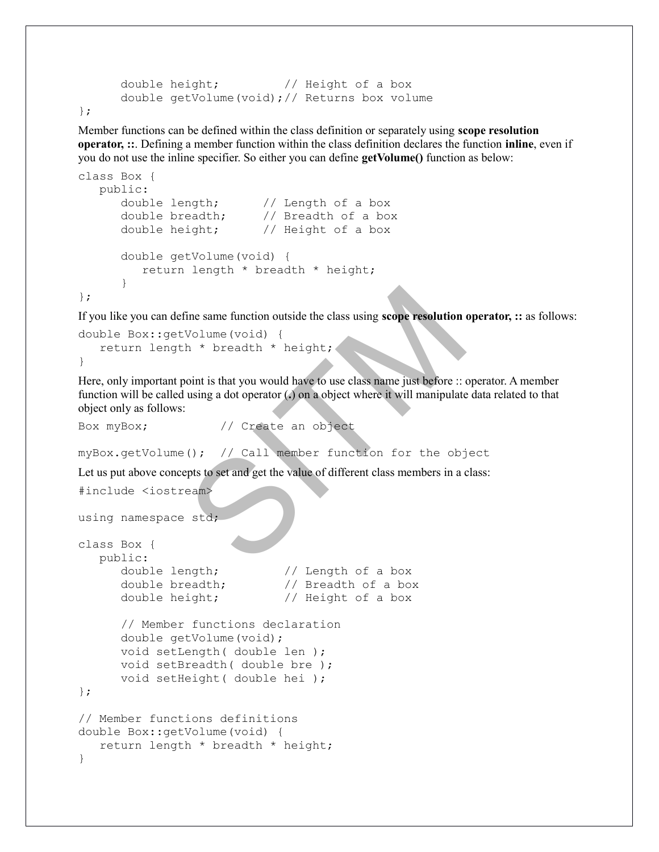```
double height; \frac{1}{2} // Height of a box
 double getVolume(void);// Returns box volume
```

```
};
```
Member functions can be defined within the class definition or separately using **scope resolution operator, ::**. Defining a member function within the class definition declares the function **inline**, even if you do not use the inline specifier. So either you can define **getVolume()** function as below:

```
class Box {
   public:
       double length; // Length of a box
       double breadth; // Breadth of a box
       double height; // Height of a box
       double getVolume(void) {
         return length * breadth * height;
       }
};
```
If you like you can define same function outside the class using **scope resolution operator, ::** as follows:

```
double Box::getVolume(void) {
    return length * breadth * height;
}
```
The same function outside the class using scope resolution<br>
Volume (void) {<br>
h \* breadth \* height;<br>
woint is that you would have to use class name just before ::<br>
using a dot operator (.) on a object where it will manipula Here, only important point is that you would have to use class name just before :: operator. A member function will be called using a dot operator (**.**) on a object where it will manipulate data related to that object only as follows:

```
Box myBox; // Create an object
```

```
myBox.getVolume(); // Call member function for the object
```
Let us put above concepts to set and get the value of different class members in a class:

```
#include <iostream>
```

```
using namespace std;
```

```
class Box {
   public:
      double length; // Length of a box
      double breadth; // Breadth of a box
      double height; // Height of a box
      // Member functions declaration
      double getVolume(void);
      void setLength( double len );
      void setBreadth( double bre );
      void setHeight( double hei );
};
// Member functions definitions
double Box::getVolume(void) {
   return length * breadth * height;
}
```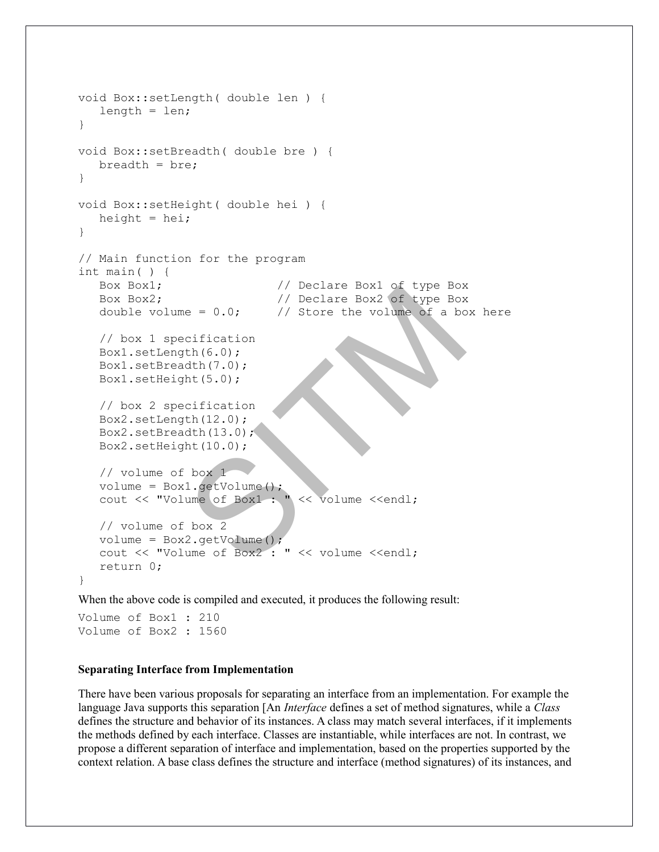```
We clare Box1 of type Box<br>
(/) Declare Box2 of type Box<br>
(/) Store the volume of a bc<br>
cification<br>
th(6.0);<br>
dth(7.0);<br>
dth(7.0);<br>
dth(13.0);<br>
dth(13.0);<br>
box 1<br>
1.getVolume();<br>
ume of Box1 : " << volume <<endl;<br>
we of Bo
void Box::setLength( double len ) {
    length = len;
}
void Box::setBreadth( double bre ) {
   breedth = bre;}
void Box::setHeight( double hei ) {
   height = hei;}
// Main function for the program
int main( ) {
   Box Box1; \frac{1}{2} // Declare Box1 of type Box
   Box Box2; \frac{1}{2} Declare Box2 of type Box
   double volume = 0.0; // Store the volume of a box here
    // box 1 specification
    Box1.setLength(6.0);
    Box1.setBreadth(7.0);
    Box1.setHeight(5.0);
    // box 2 specification
    Box2.setLength(12.0);
    Box2.setBreadth(13.0);
    Box2.setHeight(10.0);
    // volume of box 1
volume = Box1.getVolume();
 cout << "Volume of Box1 : " << volume <<endl;
    // volume of box 2
   volume = Box2.getVolume();
    cout << "Volume of Box2 : " << volume <<endl;
    return 0;
}
```
When the above code is compiled and executed, it produces the following result:

Volume of Box1 : 210 Volume of Box2 : 1560

#### **Separating Interface from Implementation**

There have been various proposals for separating an interface from an implementation. For example the language Java supports this separation [An *Interface* defines a set of method signatures, while a *Class* defines the structure and behavior of its instances. A class may match several interfaces, if it implements the methods defined by each interface. Classes are instantiable, while interfaces are not. In contrast, we propose a different separation of interface and implementation, based on the properties supported by the context relation. A base class defines the structure and interface (method signatures) of its instances, and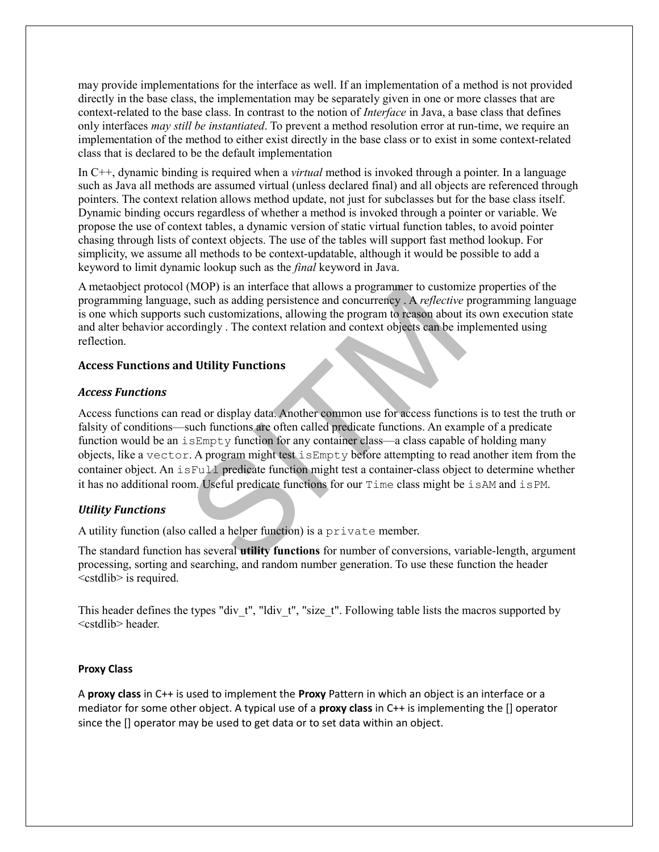may provide implementations for the interface as well. If an implementation of a method is not provided directly in the base class, the implementation may be separately given in one or more classes that are context-related to the base class. In contrast to the notion of *Interface* in Java, a base class that defines only interfaces *may still be instantiated*. To prevent a method resolution error at run-time, we require an implementation of the method to either exist directly in the base class or to exist in some context-related class that is declared to be the default implementation

In C++, dynamic binding is required when a *virtual* method is invoked through a pointer. In a language such as Java all methods are assumed virtual (unless declared final) and all objects are referenced through pointers. The context relation allows method update, not just for subclasses but for the base class itself. Dynamic binding occurs regardless of whether a method is invoked through a pointer or variable. We propose the use of context tables, a dynamic version of static virtual function tables, to avoid pointer chasing through lists of context objects. The use of the tables will support fast method lookup. For simplicity, we assume all methods to be context-updatable, although it would be possible to add a keyword to limit dynamic lookup such as the *final* keyword in Java.

A metaobject protocol (MOP) is an interface that allows a programmer to customize properties of the programming language, such as adding persistence and concurrency . A *reflective* programming language is one which supports such customizations, allowing the program to reason about its own execution state and alter behavior accordingly . The context relation and context objects can be implemented using reflection.

#### **Access Functions and Utility Functions**

#### *Access Functions*

(MOP) is an interface that allows a programmer to customize, such as adding persistence and concurrency. A *reflective* such customizations, allowing the program to reason about indigly. The context relation and context ob Access functions can read or display data. Another common use for access functions is to test the truth or falsity of conditions—such functions are often called predicate functions. An example of a predicate function would be an  $i$  s  $Empty$  function for any container class—a class capable of holding many objects, like a vector. A program might test isEmpty before attempting to read another item from the container object. An isFull predicate function might test a container-class object to determine whether it has no additional room. Useful predicate functions for our Time class might be isAM and isPM.

## *Utility Functions*

A utility function (also called a helper function) is a private member.

The standard function has several **utility functions** for number of conversions, variable-length, argument processing, sorting and searching, and random number generation. To use these function the header <cstdlib> is required.

This header defines the types "div t", "ldiv t", "size t". Following table lists the macros supported by <cstdlib> header.

#### **Proxy Class**

A **proxy class** in C++ is used to implement the **Proxy** Pattern in which an object is an interface or a mediator for some other object. A typical use of a **proxy class** in C++ is implementing the [] operator since the [] operator may be used to get data or to set data within an object.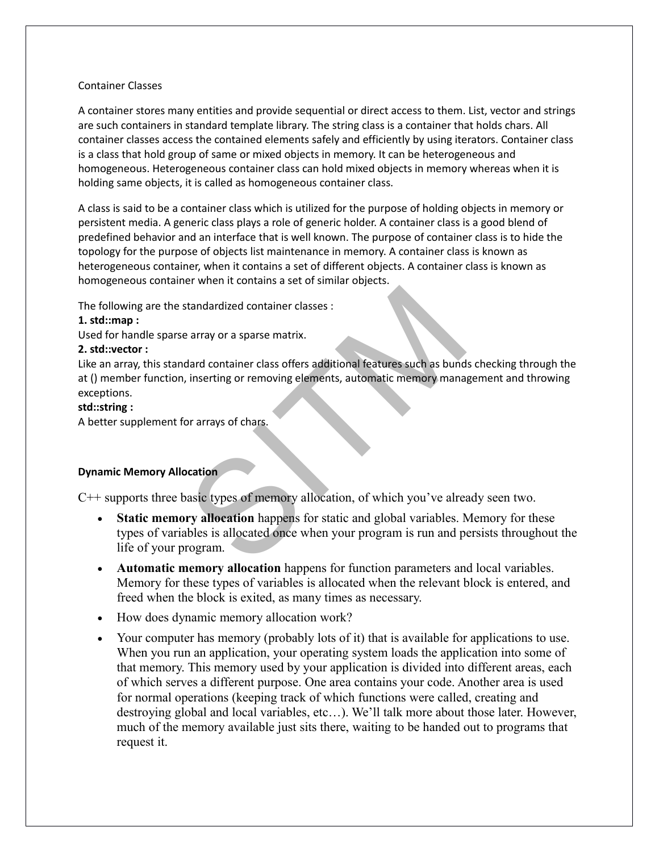#### Container Classes

A container stores many entities and provide sequential or direct access to them. List, vector and strings are such containers in standard template library. The string class is a container that holds chars. All container classes access the contained elements safely and efficiently by using iterators. Container class is a class that hold group of same or mixed objects in memory. It can be heterogeneous and homogeneous. Heterogeneous container class can hold mixed objects in memory whereas when it is holding same objects, it is called as homogeneous container class.

A class is said to be a container class which is utilized for the purpose of holding objects in memory or persistent media. A generic class plays a role of generic holder. A container class is a good blend of predefined behavior and an interface that is well known. The purpose of container class is to hide the topology for the purpose of objects list maintenance in memory. A container class is known as heterogeneous container, when it contains a set of different objects. A container class is known as homogeneous container when it contains a set of similar objects.

The following are the standardized container classes :

## **1. std::map :**

Used for handle sparse array or a sparse matrix.

## **2. std::vector :**

Like an array, this standard container class offers additional features such as bunds checking through the at () member function, inserting or removing elements, automatic memory management and throwing exceptions.

## **std::string :**

A better supplement for arrays of chars.

## **Dynamic Memory Allocation**

C++ supports three basic types of memory allocation, of which you've already seen two.

- Standardized container classes :<br>
Exercise a array or a sparse matrix.<br>
A ard container class offers additional features such as bund<br>
in inserting or removing elements, automatic memory mana<br>
or arrays of chars.<br>
Sociatio **Static memory allocation** happens for static and global variables. Memory for these types of variables is allocated once when your program is run and persists throughout the life of your program.
- **Automatic memory allocation** happens for function parameters and local variables. Memory for these types of variables is allocated when the relevant block is entered, and freed when the block is exited, as many times as necessary.
- How does dynamic memory allocation work?
- Your computer has memory (probably lots of it) that is available for applications to use. When you run an application, your operating system loads the application into some of that memory. This memory used by your application is divided into different areas, each of which serves a different purpose. One area contains your code. Another area is used for normal operations (keeping track of which functions were called, creating and destroying global and local variables, etc…). We'll talk more about those later. However, much of the memory available just sits there, waiting to be handed out to programs that request it.